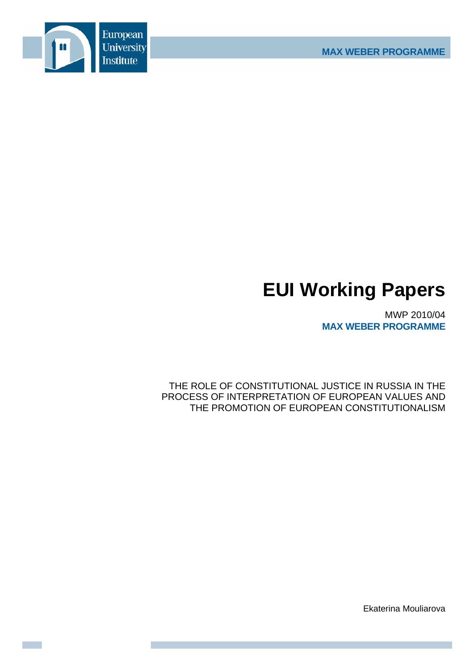

# **EUI Working Papers**

MWP 2010/04 **MAX WEBER PROGRAMME**

THE ROLE OF CONSTITUTIONAL JUSTICE IN RUSSIA IN THE PROCESS OF INTERPRETATION OF EUROPEAN VALUES AND THE PROMOTION OF EUROPEAN CONSTITUTIONALISM

Ekaterina Mouliarova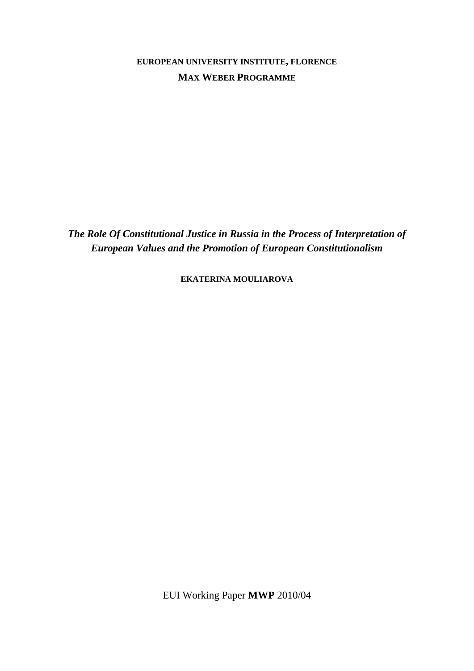**EUROPEAN UNIVERSITY INSTITUTE, FLORENCE MAX WEBER PROGRAMME**

*The Role Of Constitutional Justice in Russia in the Process of Interpretation of European Values and the Promotion of European Constitutionalism* 

**EKATERINA MOULIAROVA**

EUI Working Paper **MWP** 2010/04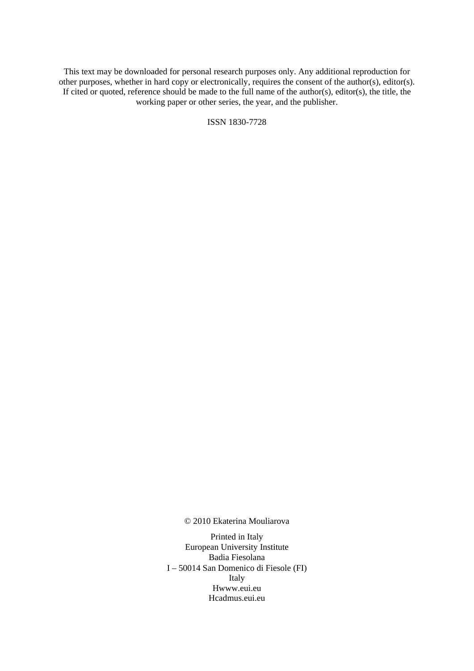This text may be downloaded for personal research purposes only. Any additional reproduction for other purposes, whether in hard copy or electronically, requires the consent of the author(s), editor(s). If cited or quoted, reference should be made to the full name of the author(s), editor(s), the title, the working paper or other series, the year, and the publisher.

ISSN 1830-7728

© 2010 Ekaterina Mouliarova

Printed in Italy European University Institute Badia Fiesolana I – 50014 San Domenico di Fiesole (FI) Italy Hwww.eui.eu H cadmus.eui.eu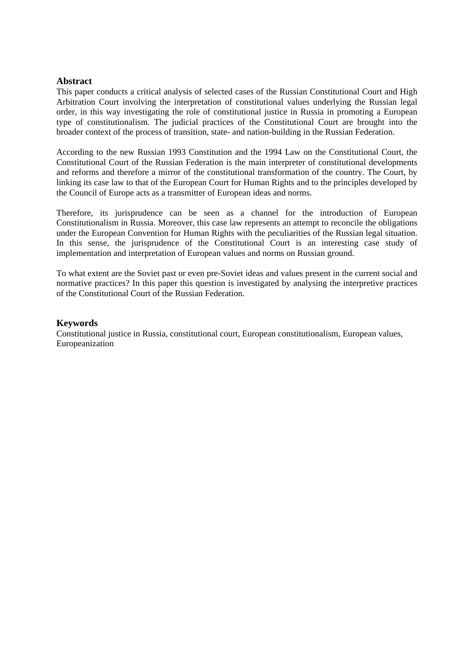# **Abstract**

This paper conducts a critical analysis of selected cases of the Russian Constitutional Court and High Arbitration Court involving the interpretation of constitutional values underlying the Russian legal order, in this way investigating the role of constitutional justice in Russia in promoting a European type of constitutionalism. The judicial practices of the Constitutional Court are brought into the broader context of the process of transition, state- and nation-building in the Russian Federation.

According to the new Russian 1993 Constitution and the 1994 Law on the Constitutional Court, the Constitutional Court of the Russian Federation is the main interpreter of constitutional developments and reforms and therefore a mirror of the constitutional transformation of the country. The Court, by linking its case law to that of the European Court for Human Rights and to the principles developed by the Council of Europe acts as a transmitter of European ideas and norms.

Therefore, its jurisprudence can be seen as a channel for the introduction of European Constitutionalism in Russia. Moreover, this case law represents an attempt to reconcile the obligations under the European Convention for Human Rights with the peculiarities of the Russian legal situation. In this sense, the jurisprudence of the Constitutional Court is an interesting case study of implementation and interpretation of European values and norms on Russian ground.

To what extent are the Soviet past or even pre-Soviet ideas and values present in the current social and normative practices? In this paper this question is investigated by analysing the interpretive practices of the Constitutional Court of the Russian Federation.

## **Keywords**

Constitutional justice in Russia, constitutional court, European constitutionalism, European values, Europeanization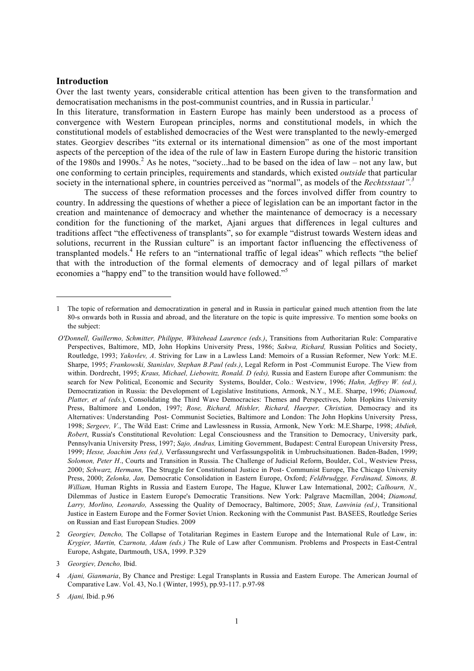## **Introduction**

l

Over the last twenty years, considerable critical attention has been given to the transformation and democratisation mechanisms in the post-communist countries, and in Russia in particular. 1

In this literature, transformation in Eastern Europe has mainly been understood as a process of convergence with Western European principles, norms and constitutional models, in which the constitutional models of established democracies of the West were transplanted to the newly-emerged states. Georgiev describes "its external or its international dimension" as one of the most important aspects of the perception of the idea of the rule of law in Eastern Europe during the historic transition of the 1980s and 1990s.<sup>2</sup> As he notes, "society...had to be based on the idea of law – not any law, but one conforming to certain principles, requirements and standards, which existed *outside* that particular society in the international sphere, in countries perceived as "normal", as models of the *Rechtsstaat".3*

The success of these reformation processes and the forces involved differ from country to country. In addressing the questions of whether a piece of legislation can be an important factor in the creation and maintenance of democracy and whether the maintenance of democracy is a necessary condition for the functioning of the market, Ajani argues that differences in legal cultures and traditions affect "the effectiveness of transplants", so for example "distrust towards Western ideas and solutions, recurrent in the Russian culture" is an important factor influencing the effectiveness of transplanted models.<sup>4</sup> He refers to an "international traffic of legal ideas" which reflects "the belief that with the introduction of the formal elements of democracy and of legal pillars of market economies a "happy end" to the transition would have followed."<sup>5</sup>

<sup>1</sup> The topic of reformation and democratization in general and in Russia in particular gained much attention from the late 80-s onwards both in Russia and abroad, and the literature on the topic is quite impressive. To mention some books on the subject:

*O'Donnell, Guillermo, Schmitter, Philippe, Whitehead Laurence (eds.)*, Transitions from Authoritarian Rule: Comparative Perspectives, Baltimore, MD, John Hopkins University Press, 1986; *Sakwa, Richard,* Russian Politics and Society, Routledge, 1993; *Yakovlev, A*. Striving for Law in a Lawless Land: Memoirs of a Russian Reformer, New York: M.E. Sharpe, 1995; *Frankowski, Stanislav, Stephan B.Paul (eds.)*, Legal Reform in Post -Communist Europe. The View from within. Dordrecht, 1995; *Kraus, Michael, Liebowitz, Ronald. D (eds),* Russia and Eastern Europe after Communism: the search for New Political, Economic and Security Systems, Boulder, Colo.: Westview, 1996; *Hahn, Jeffrey W. (ed.),* Democratization in Russia: the Development of Legislative Institutions, Armonk, N.Y., M.E. Sharpe, 1996; *Diamond, Platter, et al (eds.*), Consolidating the Third Wave Democracies: Themes and Perspectives, John Hopkins University Press, Baltimore and London, 1997; *Rose, Richard, Mishler, Richard, Haerper, Christian,* Democracy and its Alternatives: Understanding Post- Communist Societies, Baltimore and London: The John Hopkins University Press, 1998; *Sergeev, V.*, The Wild East: Crime and Lawlessness in Russia, Armonk, New York: M.E.Sharpe, 1998; *Abdieh, Robert*, Russia's Constitutional Revolution: Legal Consciousness and the Transition to Democracy, University park, Pennsylvania University Press, 1997; *Sajo, Andras,* Limiting Government, Budapest: Central European University Press, 1999; *Hesse, Joachim Jens (ed.),* Verfassungsrecht und Verfassungspolitik in Umbruchsituationen. Baden-Baden, 1999; *Solomon, Peter H*., Courts and Transition in Russia. The Challenge of Judicial Reform, Boulder, Col., Westview Press, 2000; *Schwarz, Hermann,* The Struggle for Constitutional Justice in Post- Communist Europe, The Chicago University Press, 2000; *Zelonka, Jan,* Democratic Consolidation in Eastern Europe, Oxford; *Feldbrudgge, Ferdinand, Simons, B. William,* Human Rights in Russia and Eastern Europe, The Hague, Kluwer Law International, 2002; *Calhourn, N.,* Dilemmas of Justice in Eastern Europe's Democratic Transitions. New York: Palgrave Macmillan, 2004; *Diamond, Larry, Morlino, Leonardo,* Assessing the Quality of Democracy, Baltimore, 2005; *Stan, Lanvinia (ed.)*, Transitional Justice in Eastern Europe and the Former Soviet Union. Reckoning with the Communist Past. BASEES, Routledge Series on Russian and East European Studies. 2009

<sup>2</sup> *Georgiev, Dencho,* The Collapse of Totalitarian Regimes in Eastern Europe and the International Rule of Law, in: *Krygier, Martin, Czarnota, Adam (eds.)* The Rule of Law after Communism. Problems and Prospects in East-Central Europe, Ashgate, Dartmouth, USA, 1999. P.329

<sup>3</sup> *Georgiev, Dencho,* Ibid.

<sup>4</sup> *Ajani, Gianmaria*, By Chance and Prestige: Legal Transplants in Russia and Eastern Europe. The American Journal of Comparative Law. Vol. 43, No.1 (Winter, 1995), pp.93-117. p.97-98

<sup>5</sup> *Ajani,* Ibid. p.96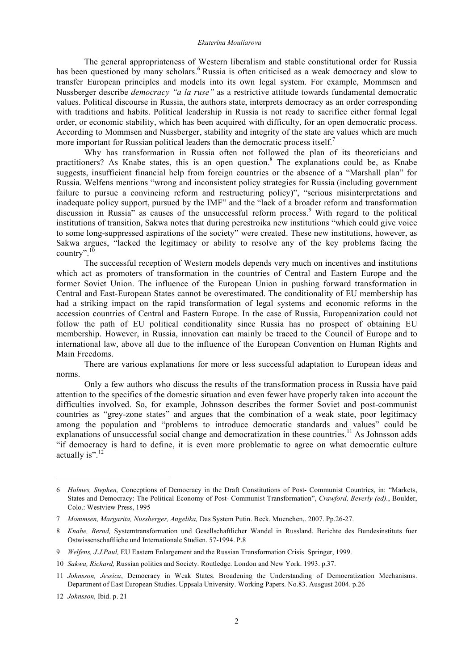#### *Ekaterina Mouliarova*

The general appropriateness of Western liberalism and stable constitutional order for Russia has been questioned by many scholars.<sup>6</sup> Russia is often criticised as a weak democracy and slow to transfer European principles and models into its own legal system. For example, Mommsen and Nussberger describe *democracy "a la ruse"* as a restrictive attitude towards fundamental democratic values. Political discourse in Russia, the authors state, interprets democracy as an order corresponding with traditions and habits. Political leadership in Russia is not ready to sacrifice either formal legal order, or economic stability, which has been acquired with difficulty, for an open democratic process. According to Mommsen and Nussberger, stability and integrity of the state are values which are much more important for Russian political leaders than the democratic process itself.<sup>7</sup>

Why has transformation in Russia often not followed the plan of its theoreticians and practitioners? As Knabe states, this is an open question. <sup>8</sup> The explanations could be, as Knabe suggests, insufficient financial help from foreign countries or the absence of a "Marshall plan" for Russia. Welfens mentions "wrong and inconsistent policy strategies for Russia (including government failure to pursue a convincing reform and restructuring policy)", "serious misinterpretations and inadequate policy support, pursued by the IMF" and the "lack of a broader reform and transformation discussion in Russia<sup>"</sup> as causes of the unsuccessful reform process.<sup>9</sup> With regard to the political institutions of transition, Sakwa notes that during perestroika new institutions "which could give voice to some long-suppressed aspirations of the society" were created. These new institutions, however, as Sakwa argues, "lacked the legitimacy or ability to resolve any of the key problems facing the country".<sup>10</sup>

The successful reception of Western models depends very much on incentives and institutions which act as promoters of transformation in the countries of Central and Eastern Europe and the former Soviet Union. The influence of the European Union in pushing forward transformation in Central and East-European States cannot be overestimated. The conditionality of EU membership has had a striking impact on the rapid transformation of legal systems and economic reforms in the accession countries of Central and Eastern Europe. In the case of Russia, Europeanization could not follow the path of EU political conditionality since Russia has no prospect of obtaining EU membership. However, in Russia, innovation can mainly be traced to the Council of Europe and to international law, above all due to the influence of the European Convention on Human Rights and Main Freedoms.

There are various explanations for more or less successful adaptation to European ideas and norms.

Only a few authors who discuss the results of the transformation process in Russia have paid attention to the specifics of the domestic situation and even fewer have properly taken into account the difficulties involved. So, for example, Johnsson describes the former Soviet and post-communist countries as "grey-zone states" and argues that the combination of a weak state, poor legitimacy among the population and "problems to introduce democratic standards and values" could be explanations of unsuccessful social change and democratization in these countries.<sup>11</sup> As Johnsson adds "if democracy is hard to define, it is even more problematic to agree on what democratic culture actually is".<sup>12</sup>

<sup>6</sup> *Holmes, Stephen,* Conceptions of Democracy in the Draft Constitutions of Post- Communist Countries, in: "Markets, States and Democracy: The Political Economy of Post- Communist Transformation", *Crawford, Beverly (ed).*, Boulder, Colo.: Westview Press, 1995

<sup>7</sup> *Mommsen, Margarita, Nussberger, Angelika,* Das System Putin. Beck. Muenchen,. 2007. Pp.26-27.

<sup>8</sup> *Knabe, Bernd,* Systemtransformation und Gesellschaftlicher Wandel in Russland. Berichte des Bundesinstituts fuer Ostwissenschaftliche und Internationale Studien. 57-1994. P.8

<sup>9</sup> *Welfens, J.J.Paul,* EU Eastern Enlargement and the Russian Transformation Crisis. Springer, 1999.

<sup>10</sup> *Sakwa, Richard,* Russian politics and Society. Routledge. London and New York. 1993. p.37.

<sup>11</sup> *Johnsson, Jessica*, Democracy in Weak States. Broadening the Understanding of Democratization Mechanisms. Department of East European Studies. Uppsala University. Working Papers. No.83. Ausgust 2004. p.26

<sup>12</sup> *Johnsson,* Ibid. p. 21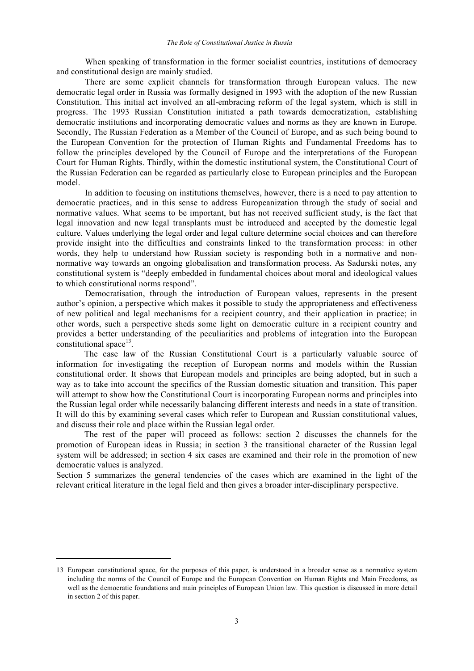When speaking of transformation in the former socialist countries, institutions of democracy and constitutional design are mainly studied.

There are some explicit channels for transformation through European values. The new democratic legal order in Russia was formally designed in 1993 with the adoption of the new Russian Constitution. This initial act involved an all-embracing reform of the legal system, which is still in progress. The 1993 Russian Constitution initiated a path towards democratization, establishing democratic institutions and incorporating democratic values and norms as they are known in Europe. Secondly, The Russian Federation as a Member of the Council of Europe, and as such being bound to the European Convention for the protection of Human Rights and Fundamental Freedoms has to follow the principles developed by the Council of Europe and the interpretations of the European Court for Human Rights. Thirdly, within the domestic institutional system, the Constitutional Court of the Russian Federation can be regarded as particularly close to European principles and the European model.

In addition to focusing on institutions themselves, however, there is a need to pay attention to democratic practices, and in this sense to address Europeanization through the study of social and normative values. What seems to be important, but has not received sufficient study, is the fact that legal innovation and new legal transplants must be introduced and accepted by the domestic legal culture. Values underlying the legal order and legal culture determine social choices and can therefore provide insight into the difficulties and constraints linked to the transformation process: in other words, they help to understand how Russian society is responding both in a normative and nonnormative way towards an ongoing globalisation and transformation process. As Sadurski notes, any constitutional system is "deeply embedded in fundamental choices about moral and ideological values to which constitutional norms respond".

Democratisation, through the introduction of European values, represents in the present author's opinion, a perspective which makes it possible to study the appropriateness and effectiveness of new political and legal mechanisms for a recipient country, and their application in practice; in other words, such a perspective sheds some light on democratic culture in a recipient country and provides a better understanding of the peculiarities and problems of integration into the European constitutional space $^{13}$ .

The case law of the Russian Constitutional Court is a particularly valuable source of information for investigating the reception of European norms and models within the Russian constitutional order. It shows that European models and principles are being adopted, but in such a way as to take into account the specifics of the Russian domestic situation and transition. This paper will attempt to show how the Constitutional Court is incorporating European norms and principles into the Russian legal order while necessarily balancing different interests and needs in a state of transition. It will do this by examining several cases which refer to European and Russian constitutional values, and discuss their role and place within the Russian legal order.

The rest of the paper will proceed as follows: section 2 discusses the channels for the promotion of European ideas in Russia; in section 3 the transitional character of the Russian legal system will be addressed; in section 4 six cases are examined and their role in the promotion of new democratic values is analyzed.

Section 5 summarizes the general tendencies of the cases which are examined in the light of the relevant critical literature in the legal field and then gives a broader inter-disciplinary perspective.

<sup>13</sup> European constitutional space, for the purposes of this paper, is understood in a broader sense as a normative system including the norms of the Council of Europe and the European Convention on Human Rights and Main Freedoms, as well as the democratic foundations and main principles of European Union law. This question is discussed in more detail in section 2 of this paper.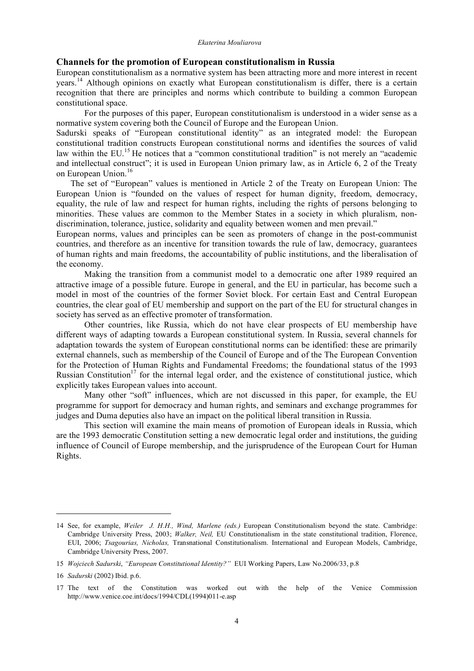# **Channels for the promotion of European constitutionalism in Russia**

European constitutionalism as a normative system has been attracting more and more interest in recent years.<sup>14</sup> Although opinions on exactly what European constitutionalism is differ, there is a certain recognition that there are principles and norms which contribute to building a common European constitutional space.

For the purposes of this paper, European constitutionalism is understood in a wider sense as a normative system covering both the Council of Europe and the European Union.

Sadurski speaks of "European constitutional identity" as an integrated model: the European constitutional tradition constructs European constitutional norms and identifies the sources of valid law within the EU.<sup>15</sup> He notices that a "common constitutional tradition" is not merely an "academic and intellectual construct"; it is used in European Union primary law, as in Article 6, 2 of the Treaty on European Union. 16

The set of "European" values is mentioned in Article 2 of the Treaty on European Union: The European Union is "founded on the values of respect for human dignity, freedom, democracy, equality, the rule of law and respect for human rights, including the rights of persons belonging to minorities. These values are common to the Member States in a society in which pluralism, nondiscrimination, tolerance, justice, solidarity and equality between women and men prevail."

European norms, values and principles can be seen as promoters of change in the post-communist countries, and therefore as an incentive for transition towards the rule of law, democracy, guarantees of human rights and main freedoms, the accountability of public institutions, and the liberalisation of the economy.

Making the transition from a communist model to a democratic one after 1989 required an attractive image of a possible future. Europe in general, and the EU in particular, has become such a model in most of the countries of the former Soviet block. For certain East and Central European countries, the clear goal of EU membership and support on the part of the EU for structural changes in society has served as an effective promoter of transformation.

Other countries, like Russia, which do not have clear prospects of EU membership have different ways of adapting towards a European constitutional system. In Russia, several channels for adaptation towards the system of European constitutional norms can be identified: these are primarily external channels, such as membership of the Council of Europe and of the The European Convention for the Protection of Human Rights and Fundamental Freedoms; the foundational status of the 1993 Russian Constitution<sup>17</sup> for the internal legal order, and the existence of constitutional justice, which explicitly takes European values into account.

Many other "soft" influences, which are not discussed in this paper, for example, the EU programme for support for democracy and human rights, and seminars and exchange programmes for judges and Duma deputies also have an impact on the political liberal transition in Russia.

This section will examine the main means of promotion of European ideals in Russia, which are the 1993 democratic Constitution setting a new democratic legal order and institutions, the guiding influence of Council of Europe membership, and the jurisprudence of the European Court for Human Rights.

<sup>14</sup> See, for example, *Weiler J. H.H., Wind, Marlene (eds.)* European Constitutionalism beyond the state. Cambridge: Cambridge University Press, 2003; *Walker, Neil,* EU Constitutionalism in the state constitutional tradition, Florence, EUI, 2006; *Tsagourias, Nicholas,* Transnational Constitutionalism. International and European Models, Cambridge, Cambridge University Press, 2007.

<sup>15</sup> *Wojciech Sadurski*, *"European Constitutional Identity?"* EUI Working Papers, Law No.2006/33, p.8

<sup>16</sup> *Sadurski* (2002) Ibid. p.6.

<sup>17</sup> The text of the Constitution was worked out with the help of the Venice Commission http://www.venice.coe.int/docs/1994/CDL(1994)011-e.asp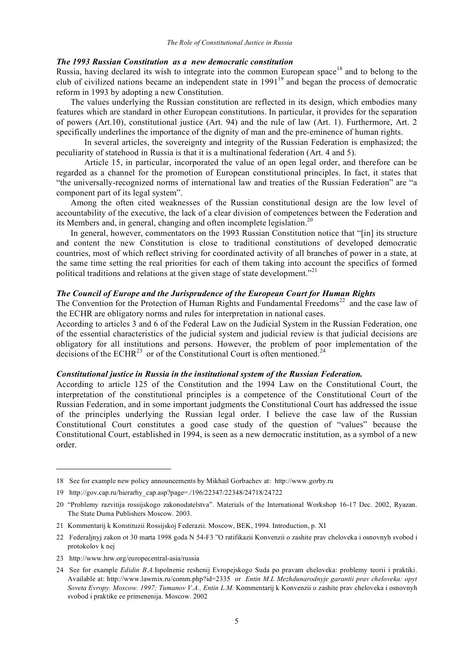## *The 1993 Russian Constitution as a new democratic constitution*

Russia, having declared its wish to integrate into the common European space<sup>18</sup> and to belong to the club of civilized nations became an independent state in 1991<sup>19</sup> and began the process of democratic reform in 1993 by adopting a new Constitution.

The values underlying the Russian constitution are reflected in its design, which embodies many features which are standard in other European constitutions. In particular, it provides for the separation of powers (Art.10), constitutional justice (Art. 94) and the rule of law (Art. 1). Furthermore, Art. 2 specifically underlines the importance of the dignity of man and the pre-eminence of human rights.

In several articles, the sovereignty and integrity of the Russian Federation is emphasized; the peculiarity of statehood in Russia is that it is a multinational federation (Art. 4 and 5).

Article 15, in particular, incorporated the value of an open legal order, and therefore can be regarded as a channel for the promotion of European constitutional principles. In fact, it states that "the universally-recognized norms of international law and treaties of the Russian Federation" are "a component part of its legal system".

Among the often cited weaknesses of the Russian constitutional design are the low level of accountability of the executive, the lack of a clear division of competences between the Federation and its Members and, in general, changing and often incomplete legislation.<sup>20</sup>

In general, however, commentators on the 1993 Russian Constitution notice that "[in] its structure and content the new Constitution is close to traditional constitutions of developed democratic countries, most of which reflect striving for coordinated activity of all branches of power in a state, at the same time setting the real priorities for each of them taking into account the specifics of formed political traditions and relations at the given stage of state development."<sup>21</sup>

## *The Council of Europe and the Jurisprudence of the European Court for Human Rights*

The Convention for the Protection of Human Rights and Fundamental Freedoms<sup>22</sup> and the case law of the ECHR are obligatory norms and rules for interpretation in national cases.

According to articles 3 and 6 of the Federal Law on the Judicial System in the Russian Federation, one of the essential characteristics of the judicial system and judicial review is that judicial decisions are obligatory for all institutions and persons. However, the problem of poor implementation of the decisions of the ECHR<sup>23</sup> or of the Constitutional Court is often mentioned.<sup>24</sup>

## *Constitutional justice in Russia in the institutional system of the Russian Federation.*

According to article 125 of the Constitution and the 1994 Law on the Constitutional Court, the interpretation of the constitutional principles is a competence of the Constitutional Court of the Russian Federation, and in some important judgments the Constitutional Court has addressed the issue of the principles underlying the Russian legal order. I believe the case law of the Russian Constitutional Court constitutes a good case study of the question of "values" because the Constitutional Court, established in 1994, is seen as a new democratic institution, as a symbol of a new order.

<sup>18</sup> See for example new policy announcements by Mikhail Gorbachev at: http://www.gorby.ru

<sup>19</sup> http://gov.cap.ru/hierarhy\_cap.asp?page=./196/22347/22348/24718/24722

<sup>20</sup> "Problemy razvitija rossijskogo zakonodatelstva". Materials of the International Workshop 16-17 Dec. 2002, Ryazan. The State Duma Publishers Moscow. 2003.

<sup>21</sup> Kommentarij k Konstituzii Rossijskoj Federazii. Moscow, BEK, 1994. Introduction, p. XI

<sup>22</sup> Federaljnyj zakon ot 30 marta 1998 goda N 54-F3 "O ratifikazii Konvenzii o zashite prav cheloveka i osnovnyh svobod i protokolov k nej

<sup>23</sup> http://www.hrw.org/europecentral-asia/russia

<sup>24</sup> See for example *Edidin B.A.*Ispolnenie reshenij Evropejskogo Suda po pravam cheloveka: problemy teorii i praktiki. Available at: http://www.lawmix.ru/comm.php?id=2335 or *Entin M.L Mezhdunarodnyje garantii prav cheloveka: opyt Soveta Evropy. Moscow. 1997; Tumanov V.A., Entin L.M.* Kommentarij k Konvenzii o zashite prav cheloveka i osnovnyh svobod i praktike ee primenenija. Moscow. 2002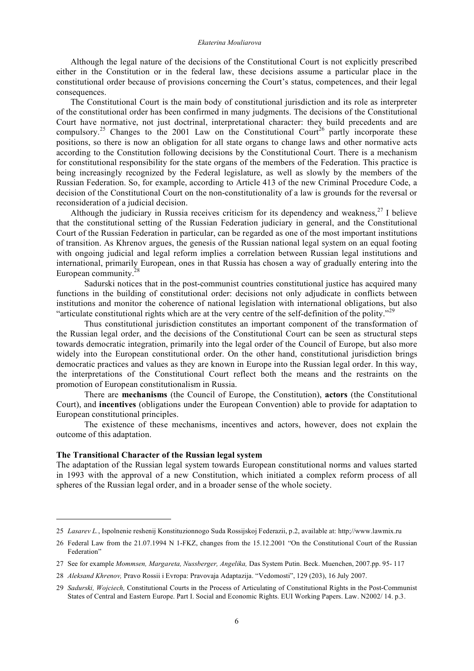#### *Ekaterina Mouliarova*

Although the legal nature of the decisions of the Constitutional Court is not explicitly prescribed either in the Constitution or in the federal law, these decisions assume a particular place in the constitutional order because of provisions concerning the Court's status, competences, and their legal consequences.

The Constitutional Court is the main body of constitutional jurisdiction and its role as interpreter of the constitutional order has been confirmed in many judgments. The decisions of the Constitutional Court have normative, not just doctrinal, interpretational character: they build precedents and are compulsory.<sup>25</sup> Changes to the 2001 Law on the Constitutional Court<sup>26</sup> partly incorporate these positions, so there is now an obligation for all state organs to change laws and other normative acts according to the Constitution following decisions by the Constitutional Court. There is a mechanism for constitutional responsibility for the state organs of the members of the Federation. This practice is being increasingly recognized by the Federal legislature, as well as slowly by the members of the Russian Federation. So, for example, according to Article 413 of the new Criminal Procedure Code, a decision of the Constitutional Court on the non-constitutionality of a law is grounds for the reversal or reconsideration of a judicial decision.

Although the judiciary in Russia receives criticism for its dependency and weakness,<sup>27</sup> I believe that the constitutional setting of the Russian Federation judiciary in general, and the Constitutional Court of the Russian Federation in particular, can be regarded as one of the most important institutions of transition. As Khrenov argues, the genesis of the Russian national legal system on an equal footing with ongoing judicial and legal reform implies a correlation between Russian legal institutions and international, primarily European, ones in that Russia has chosen a way of gradually entering into the European community.<sup>28</sup>

Sadurski notices that in the post-communist countries constitutional justice has acquired many functions in the building of constitutional order: decisions not only adjudicate in conflicts between institutions and monitor the coherence of national legislation with international obligations, but also "articulate constitutional rights which are at the very centre of the self-definition of the polity."<sup>29</sup>

Thus constitutional jurisdiction constitutes an important component of the transformation of the Russian legal order, and the decisions of the Constitutional Court can be seen as structural steps towards democratic integration, primarily into the legal order of the Council of Europe, but also more widely into the European constitutional order. On the other hand, constitutional jurisdiction brings democratic practices and values as they are known in Europe into the Russian legal order. In this way, the interpretations of the Constitutional Court reflect both the means and the restraints on the promotion of European constitutionalism in Russia.

There are **mechanisms** (the Council of Europe, the Constitution), **actors** (the Constitutional Court), and **incentives** (obligations under the European Convention) able to provide for adaptation to European constitutional principles.

The existence of these mechanisms, incentives and actors, however, does not explain the outcome of this adaptation.

## **The Transitional Character of the Russian legal system**

l

The adaptation of the Russian legal system towards European constitutional norms and values started in 1993 with the approval of a new Constitution, which initiated a complex reform process of all spheres of the Russian legal order, and in a broader sense of the whole society.

<sup>25</sup> *Lasarev L.*, Ispolnenie reshenij Konstituzionnogo Suda Rossijskoj Federazii, p.2, available at: http;//www.lawmix.ru

<sup>26</sup> Federal Law from the 21.07.1994 N 1-FKZ, changes from the 15.12.2001 "On the Constitutional Court of the Russian Federation"

<sup>27</sup> See for example *Mommsen, Margareta, Nussberger, Angelika,* Das System Putin. Beck. Muenchen, 2007.pp. 95- 117

<sup>28</sup> *Aleksand Khrenov,* Pravo Rossii i Evropa: Pravovaja Adaptazija. "Vedomosti", 129 (203), 16 July 2007.

<sup>29</sup> *Sadurski, Wojciech,* Constitutional Courts in the Process of Articulating of Constitutional Rights in the Post-Communist States of Central and Eastern Europe. Part I. Social and Economic Rights. EUI Working Papers. Law. N2002/ 14. p.3.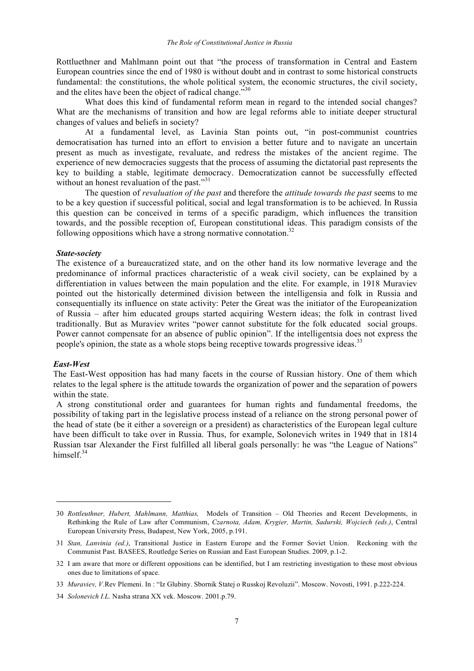Rottluethner and Mahlmann point out that "the process of transformation in Central and Eastern European countries since the end of 1980 is without doubt and in contrast to some historical constructs fundamental: the constitutions, the whole political system, the economic structures, the civil society, and the elites have been the object of radical change."<sup>30</sup>

What does this kind of fundamental reform mean in regard to the intended social changes? What are the mechanisms of transition and how are legal reforms able to initiate deeper structural changes of values and beliefs in society?

At a fundamental level, as Lavinia Stan points out, "in post-communist countries democratisation has turned into an effort to envision a better future and to navigate an uncertain present as much as investigate, revaluate, and redress the mistakes of the ancient regime. The experience of new democracies suggests that the process of assuming the dictatorial past represents the key to building a stable, legitimate democracy. Democratization cannot be successfully effected without an honest revaluation of the past."<sup>31</sup>

The question of *revaluation of the past* and therefore the *attitude towards the past* seems to me to be a key question if successful political, social and legal transformation is to be achieved. In Russia this question can be conceived in terms of a specific paradigm, which influences the transition towards, and the possible reception of, European constitutional ideas. This paradigm consists of the following oppositions which have a strong normative connotation.<sup>32</sup>

## *State-society*

The existence of a bureaucratized state, and on the other hand its low normative leverage and the predominance of informal practices characteristic of a weak civil society, can be explained by a differentiation in values between the main population and the elite. For example, in 1918 Muraviev pointed out the historically determined division between the intelligensia and folk in Russia and consequentially its influence on state activity: Peter the Great was the initiator of the Europeanization of Russia – after him educated groups started acquiring Western ideas; the folk in contrast lived traditionally. But as Muraviev writes "power cannot substitute for the folk educated social groups. Power cannot compensate for an absence of public opinion". If the intelligentsia does not express the people's opinion, the state as a whole stops being receptive towards progressive ideas.<sup>33</sup>

## *East-West*

 $\overline{a}$ 

The East-West opposition has had many facets in the course of Russian history. One of them which relates to the legal sphere is the attitude towards the organization of power and the separation of powers within the state.

A strong constitutional order and guarantees for human rights and fundamental freedoms, the possibility of taking part in the legislative process instead of a reliance on the strong personal power of the head of state (be it either a sovereign or a president) as characteristics of the European legal culture have been difficult to take over in Russia. Thus, for example, Solonevich writes in 1949 that in 1814 Russian tsar Alexander the First fulfilled all liberal goals personally: he was "the League of Nations" himsel $f^{34}$ 

<sup>30</sup> *Rottleuthner, Hubert, Mahlmann, Matthias,* Models of Transition – Old Theories and Recent Developments, in Rethinking the Rule of Law after Communism, *Czarnota, Adam, Krygier, Martin, Sadurski, Wojciech (eds.)*, Central European University Press, Budapest, New York, 2005, p.191.

<sup>31</sup> *Stan, Lanvinia (ed.)*, Transitional Justice in Eastern Europe and the Former Soviet Union. Reckoning with the Communist Past. BASEES, Routledge Series on Russian and East European Studies. 2009, p.1-2.

<sup>32</sup> I am aware that more or different oppositions can be identified, but I am restricting investigation to these most obvious ones due to limitations of space.

<sup>33</sup> *Muraviev, V.*Rev Plemeni. In : "Iz Glubiny. Sbornik Statej o Russkoj Revoluzii". Moscow. Novosti, 1991. p.222-224.

<sup>34</sup> *Solonevich I.L.* Nasha strana XX vek. Moscow. 2001.p.79.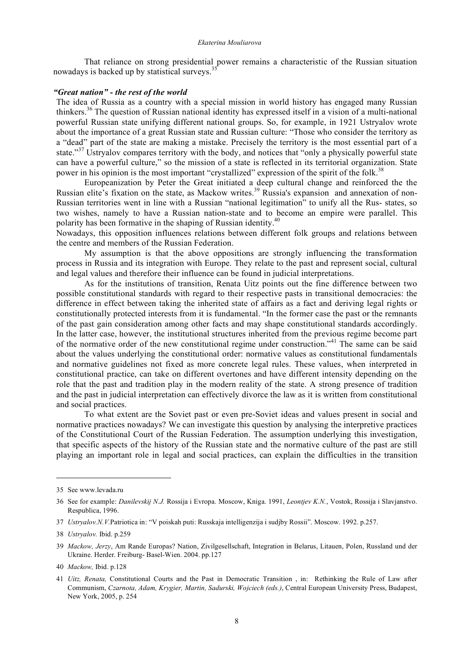That reliance on strong presidential power remains a characteristic of the Russian situation nowadays is backed up by statistical surveys.<sup>35</sup>

# *"Great nation" - the rest of the world*

The idea of Russia as a country with a special mission in world history has engaged many Russian thinkers. <sup>36</sup> The question of Russian national identity has expressed itself in a vision of a multi-national powerful Russian state unifying different national groups. So, for example, in 1921 Ustryalov wrote about the importance of a great Russian state and Russian culture: "Those who consider the territory as a "dead" part of the state are making a mistake. Precisely the territory is the most essential part of a state."<sup>37</sup> Ustryalov compares territory with the body, and notices that "only a physically powerful state can have a powerful culture," so the mission of a state is reflected in its territorial organization. State power in his opinion is the most important "crystallized" expression of the spirit of the folk.<sup>38</sup>

Europeanization by Peter the Great initiated a deep cultural change and reinforced the the Russian elite's fixation on the state, as Mackow writes.<sup>39</sup> Russia's expansion and annexation of non-Russian territories went in line with a Russian "national legitimation" to unify all the Rus- states, so two wishes, namely to have a Russian nation-state and to become an empire were parallel. This polarity has been formative in the shaping of Russian identity.<sup>40</sup>

Nowadays, this opposition influences relations between different folk groups and relations between the centre and members of the Russian Federation.

My assumption is that the above oppositions are strongly influencing the transformation process in Russia and its integration with Europe. They relate to the past and represent social, cultural and legal values and therefore their influence can be found in judicial interpretations.

As for the institutions of transition, Renata Uitz points out the fine difference between two possible constitutional standards with regard to their respective pasts in transitional democracies: the difference in effect between taking the inherited state of affairs as a fact and deriving legal rights or constitutionally protected interests from it is fundamental. "In the former case the past or the remnants of the past gain consideration among other facts and may shape constitutional standards accordingly. In the latter case, however, the institutional structures inherited from the previous regime become part of the normative order of the new constitutional regime under construction."<sup>41</sup> The same can be said about the values underlying the constitutional order: normative values as constitutional fundamentals and normative guidelines not fixed as more concrete legal rules. These values, when interpreted in constitutional practice, can take on different overtones and have different intensity depending on the role that the past and tradition play in the modern reality of the state. A strong presence of tradition and the past in judicial interpretation can effectively divorce the law as it is written from constitutional and social practices.

To what extent are the Soviet past or even pre-Soviet ideas and values present in social and normative practices nowadays? We can investigate this question by analysing the interpretive practices of the Constitutional Court of the Russian Federation. The assumption underlying this investigation, that specific aspects of the history of the Russian state and the normative culture of the past are still playing an important role in legal and social practices, can explain the difficulties in the transition

<sup>35</sup> See www.levada.ru

<sup>36</sup> See for example: *Danilevskij N.J.* Rossija i Evropa. Moscow, Kniga. 1991, *Leontjev K.N.*, Vostok, Rossija i Slavjanstvo. Respublica, 1996.

<sup>37</sup> *Ustryalov.N.V.*Patriotica in: "V poiskah puti: Russkaja intelligenzija i sudjby Rossii". Moscow. 1992. p.257.

<sup>38</sup> *Ustryalov.* Ibid. p.259

<sup>39</sup> *Mackow, Jerzy*, Am Rande Europas? Nation, Zivilgesellschaft, Integration in Belarus, Litauen, Polen, Russland und der Ukraine. Herder. Freiburg- Basel-Wien. 2004. pp.127

<sup>40</sup> *Mackow,* Ibid. p.128

<sup>41</sup> *Uitz, Renata,* Constitutional Courts and the Past in Democratic Transition , in: Rethinking the Rule of Law after Communism, *Czarnota, Adam, Krygier, Martin, Sadurski, Wojciech (eds.)*, Central European University Press, Budapest, New York, 2005, p. 254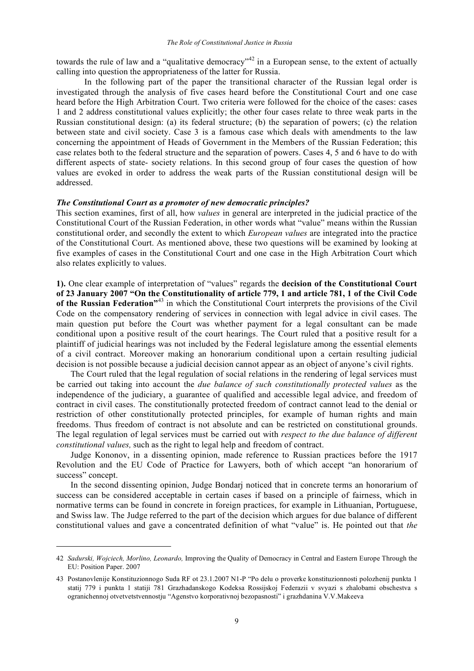towards the rule of law and a "qualitative democracy"<sup>42</sup> in a European sense, to the extent of actually calling into question the appropriateness of the latter for Russia.

In the following part of the paper the transitional character of the Russian legal order is investigated through the analysis of five cases heard before the Constitutional Court and one case heard before the High Arbitration Court. Two criteria were followed for the choice of the cases: cases 1 and 2 address constitutional values explicitly; the other four cases relate to three weak parts in the Russian constitutional design: (a) its federal structure; (b) the separation of powers; (c) the relation between state and civil society. Case 3 is a famous case which deals with amendments to the law concerning the appointment of Heads of Government in the Members of the Russian Federation; this case relates both to the federal structure and the separation of powers. Cases 4, 5 and 6 have to do with different aspects of state- society relations. In this second group of four cases the question of how values are evoked in order to address the weak parts of the Russian constitutional design will be addressed.

#### *The Constitutional Court as a promoter of new democratic principles?*

This section examines, first of all, how *values* in general are interpreted in the judicial practice of the Constitutional Court of the Russian Federation, in other words what "value" means within the Russian constitutional order, and secondly the extent to which *European values* are integrated into the practice of the Constitutional Court. As mentioned above, these two questions will be examined by looking at five examples of cases in the Constitutional Court and one case in the High Arbitration Court which also relates explicitly to values.

**1).** One clear example of interpretation of "values" regards the **decision of the Constitutional Court of 23 January 2007 "On the Constitutionality of article 779, 1 and article 781, 1 of the Civil Code of the Russian Federation"**<sup>43</sup> in which the Constitutional Court interprets the provisions of the Civil Code on the compensatory rendering of services in connection with legal advice in civil cases. The main question put before the Court was whether payment for a legal consultant can be made conditional upon a positive result of the court hearings. The Court ruled that a positive result for a plaintiff of judicial hearings was not included by the Federal legislature among the essential elements of a civil contract. Moreover making an honorarium conditional upon a certain resulting judicial decision is not possible because a judicial decision cannot appear as an object of anyone's civil rights.

The Court ruled that the legal regulation of social relations in the rendering of legal services must be carried out taking into account the *due balance of such constitutionally protected values* as the independence of the judiciary, a guarantee of qualified and accessible legal advice, and freedom of contract in civil cases. The constitutionally protected freedom of contract cannot lead to the denial or restriction of other constitutionally protected principles, for example of human rights and main freedoms. Thus freedom of contract is not absolute and can be restricted on constitutional grounds. The legal regulation of legal services must be carried out with *respect to the due balance of different constitutional values,* such as the right to legal help and freedom of contract.

Judge Kononov, in a dissenting opinion, made reference to Russian practices before the 1917 Revolution and the EU Code of Practice for Lawyers, both of which accept "an honorarium of success" concept.

In the second dissenting opinion, Judge Bondarj noticed that in concrete terms an honorarium of success can be considered acceptable in certain cases if based on a principle of fairness, which in normative terms can be found in concrete in foreign practices, for example in Lithuanian, Portuguese, and Swiss law. The Judge referred to the part of the decision which argues for due balance of different constitutional values and gave a concentrated definition of what "value" is. He pointed out that *the* 

<sup>42</sup> *Sadurski, Wojciech, Morlino, Leonardo,* Improving the Quality of Democracy in Central and Eastern Europe Through the EU: Position Paper. 2007

<sup>43</sup> Postanovlenije Konstituzionnogo Suda RF ot 23.1.2007 N1-P "Po delu o proverke konstituzionnosti polozhenij punkta 1 statij 779 i punkta 1 statiji 781 Grazhadanskogo Kodeksa Rossijskoj Federazii v svyazi s zhalobami obschestva s ogranichennoj otvetvetstvennostju "Agenstvo korporativnoj bezopasnosti" i grazhdanina V.V.Makeeva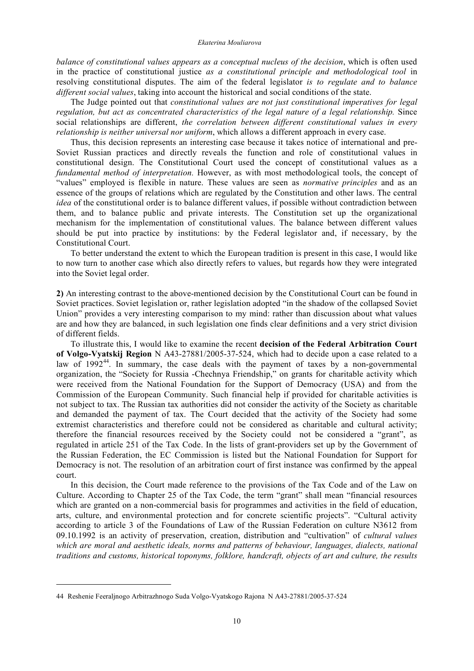#### *Ekaterina Mouliarova*

*balance of constitutional values appears as a conceptual nucleus of the decision*, which is often used in the practice of constitutional justice *as a constitutional principle and methodological tool* in resolving constitutional disputes. The aim of the federal legislator *is to regulate and to balance different social values*, taking into account the historical and social conditions of the state.

The Judge pointed out that *constitutional values are not just constitutional imperatives for legal regulation, but act as concentrated characteristics of the legal nature of a legal relationship.* Since social relationships are different, *the correlation between different constitutional values in every relationship is neither universal nor uniform*, which allows a different approach in every case.

Thus, this decision represents an interesting case because it takes notice of international and pre-Soviet Russian practices and directly reveals the function and role of constitutional values in constitutional design. The Constitutional Court used the concept of constitutional values as a *fundamental method of interpretation.* However, as with most methodological tools, the concept of "values" employed is flexible in nature. These values are seen as *normative principles* and as an essence of the groups of relations which are regulated by the Constitution and other laws. The central *idea* of the constitutional order is to balance different values, if possible without contradiction between them, and to balance public and private interests. The Constitution set up the organizational mechanism for the implementation of constitutional values. The balance between different values should be put into practice by institutions: by the Federal legislator and, if necessary, by the Constitutional Court.

To better understand the extent to which the European tradition is present in this case, I would like to now turn to another case which also directly refers to values, but regards how they were integrated into the Soviet legal order.

**2)** An interesting contrast to the above-mentioned decision by the Constitutional Court can be found in Soviet practices. Soviet legislation or, rather legislation adopted "in the shadow of the collapsed Soviet Union" provides a very interesting comparison to my mind: rather than discussion about what values are and how they are balanced, in such legislation one finds clear definitions and a very strict division of different fields.

To illustrate this, I would like to examine the recent **decision of the Federal Arbitration Court of Volgo-Vyatskij Region** N A43-27881/2005-37-524, which had to decide upon a case related to a law of  $1992^{44}$ . In summary, the case deals with the payment of taxes by a non-governmental organization, the "Society for Russia -Chechnya Friendship," on grants for charitable activity which were received from the National Foundation for the Support of Democracy (USA) and from the Commission of the European Community. Such financial help if provided for charitable activities is not subject to tax. The Russian tax authorities did not consider the activity of the Society as charitable and demanded the payment of tax. The Court decided that the activity of the Society had some extremist characteristics and therefore could not be considered as charitable and cultural activity; therefore the financial resources received by the Society could not be considered a "grant", as regulated in article 251 of the Tax Code. In the lists of grant-providers set up by the Government of the Russian Federation, the EC Commission is listed but the National Foundation for Support for Democracy is not. The resolution of an arbitration court of first instance was confirmed by the appeal court.

In this decision, the Court made reference to the provisions of the Tax Code and of the Law on Culture. According to Chapter 25 of the Tax Code, the term "grant" shall mean "financial resources which are granted on a non-commercial basis for programmes and activities in the field of education, arts, culture, and environmental protection and for concrete scientific projects". "Cultural activity according to article 3 of the Foundations of Law of the Russian Federation on culture N3612 from 09.10.1992 is an activity of preservation, creation, distribution and "cultivation" of *cultural values which are moral and aesthetic ideals, norms and patterns of behaviour, languages, dialects, national traditions and customs, historical toponyms, folklore, handcraft, objects of art and culture, the results*

<sup>44</sup> Reshenie Feeraljnogo Arbitrazhnogo Suda Volgo-Vyatskogo Rajona N A43-27881/2005-37-524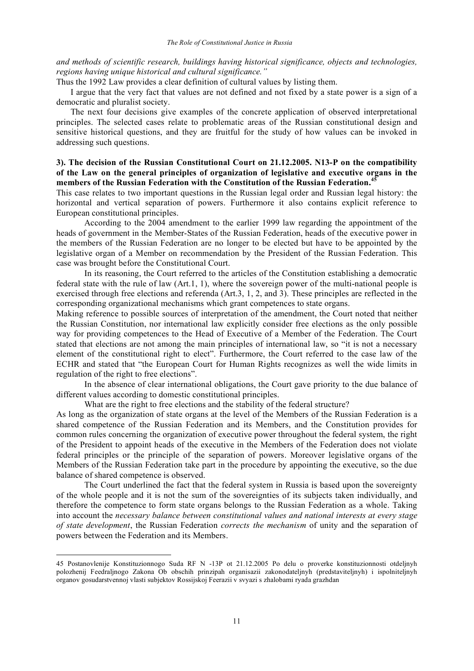## *and methods of scientific research, buildings having historical significance, objects and technologies, regions having unique historical and cultural significance."*

Thus the 1992 Law provides a clear definition of cultural values by listing them.

I argue that the very fact that values are not defined and not fixed by a state power is a sign of a democratic and pluralist society.

The next four decisions give examples of the concrete application of observed interpretational principles. The selected cases relate to problematic areas of the Russian constitutional design and sensitive historical questions, and they are fruitful for the study of how values can be invoked in addressing such questions.

# **3). The decision of the Russian Constitutional Court on 21.12.2005. N13-P on the compatibility of the Law on the general principles of organization of legislative and executive organs in the members of the Russian Federation with the Constitution of the Russian Federation. 45**

This case relates to two important questions in the Russian legal order and Russian legal history: the horizontal and vertical separation of powers. Furthermore it also contains explicit reference to European constitutional principles.

According to the 2004 amendment to the earlier 1999 law regarding the appointment of the heads of government in the Member-States of the Russian Federation, heads of the executive power in the members of the Russian Federation are no longer to be elected but have to be appointed by the legislative organ of a Member on recommendation by the President of the Russian Federation. This case was brought before the Constitutional Court.

In its reasoning, the Court referred to the articles of the Constitution establishing a democratic federal state with the rule of law (Art.1, 1), where the sovereign power of the multi-national people is exercised through free elections and referenda (Art.3, 1, 2, and 3). These principles are reflected in the corresponding organizational mechanisms which grant competences to state organs.

Making reference to possible sources of interpretation of the amendment, the Court noted that neither the Russian Constitution, nor international law explicitly consider free elections as the only possible way for providing competences to the Head of Executive of a Member of the Federation. The Court stated that elections are not among the main principles of international law, so "it is not a necessary element of the constitutional right to elect". Furthermore, the Court referred to the case law of the ECHR and stated that "the European Court for Human Rights recognizes as well the wide limits in regulation of the right to free elections".

In the absence of clear international obligations, the Court gave priority to the due balance of different values according to domestic constitutional principles.

What are the right to free elections and the stability of the federal structure?

As long as the organization of state organs at the level of the Members of the Russian Federation is a shared competence of the Russian Federation and its Members, and the Constitution provides for common rules concerning the organization of executive power throughout the federal system, the right of the President to appoint heads of the executive in the Members of the Federation does not violate federal principles or the principle of the separation of powers. Moreover legislative organs of the Members of the Russian Federation take part in the procedure by appointing the executive, so the due balance of shared competence is observed.

The Court underlined the fact that the federal system in Russia is based upon the sovereignty of the whole people and it is not the sum of the sovereignties of its subjects taken individually, and therefore the competence to form state organs belongs to the Russian Federation as a whole. Taking into account the *necessary balance between constitutional values and national interests at every stage of state development*, the Russian Federation *corrects the mechanism* of unity and the separation of powers between the Federation and its Members.

<sup>45</sup> Postanovlenije Konstituzionnogo Suda RF N -13P ot 21.12.2005 Po delu o proverke konstituzionnosti otdeljnyh polozhenij Feedraljnogo Zakona Ob obschih prinzipah organisazii zakonodateljnyh (predstaviteljnyh) i ispolniteljnyh organov gosudarstvennoj vlasti subjektov Rossijskoj Feerazii v svyazi s zhalobami ryada grazhdan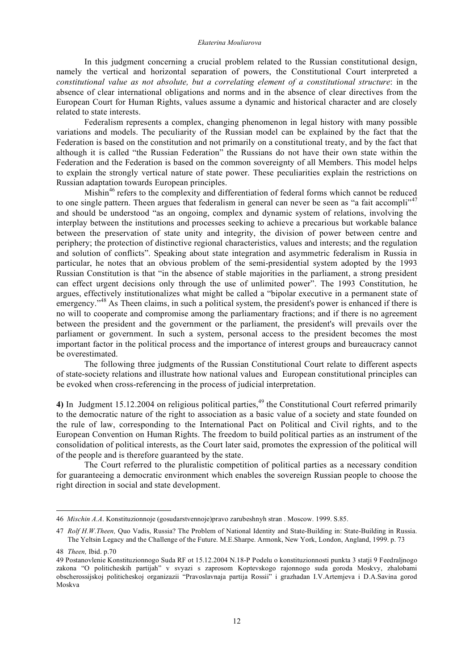In this judgment concerning a crucial problem related to the Russian constitutional design, namely the vertical and horizontal separation of powers, the Constitutional Court interpreted a *constitutional value as not absolute, but a correlating element of a constitutional structure*: in the absence of clear international obligations and norms and in the absence of clear directives from the European Court for Human Rights, values assume a dynamic and historical character and are closely related to state interests.

Federalism represents a complex, changing phenomenon in legal history with many possible variations and models. The peculiarity of the Russian model can be explained by the fact that the Federation is based on the constitution and not primarily on a constitutional treaty, and by the fact that although it is called "the Russian Federation" the Russians do not have their own state within the Federation and the Federation is based on the common sovereignty of all Members. This model helps to explain the strongly vertical nature of state power. These peculiarities explain the restrictions on Russian adaptation towards European principles.

Mishin<sup>46</sup> refers to the complexity and differentiation of federal forms which cannot be reduced to one single pattern. Theen argues that federalism in general can never be seen as "a fait accompli"<sup>47</sup> and should be understood "as an ongoing, complex and dynamic system of relations, involving the interplay between the institutions and processes seeking to achieve a precarious but workable balance between the preservation of state unity and integrity, the division of power between centre and periphery; the protection of distinctive regional characteristics, values and interests; and the regulation and solution of conflicts". Speaking about state integration and asymmetric federalism in Russia in particular, he notes that an obvious problem of the semi-presidential system adopted by the 1993 Russian Constitution is that "in the absence of stable majorities in the parliament, a strong president can effect urgent decisions only through the use of unlimited power". The 1993 Constitution, he argues, effectively institutionalizes what might be called a "bipolar executive in a permanent state of emergency."<sup>48</sup> As Theen claims, in such a political system, the president's power is enhanced if there is no will to cooperate and compromise among the parliamentary fractions; and if there is no agreement between the president and the government or the parliament, the president's will prevails over the parliament or government. In such a system, personal access to the president becomes the most important factor in the political process and the importance of interest groups and bureaucracy cannot be overestimated.

The following three judgments of the Russian Constitutional Court relate to different aspects of state-society relations and illustrate how national values and European constitutional principles can be evoked when cross-referencing in the process of judicial interpretation.

**4)** In Judgment 15.12.2004 on religious political parties, <sup>49</sup> the Constitutional Court referred primarily to the democratic nature of the right to association as a basic value of a society and state founded on the rule of law, corresponding to the International Pact on Political and Civil rights, and to the European Convention on Human Rights. The freedom to build political parties as an instrument of the consolidation of political interests, as the Court later said, promotes the expression of the political will of the people and is therefore guaranteed by the state.

The Court referred to the pluralistic competition of political parties as a necessary condition for guaranteeing a democratic environment which enables the sovereign Russian people to choose the right direction in social and state development.

<sup>46</sup> *Mischin A.A*. Konstituzionnoje (gosudarstvennoje)pravo zarubeshnyh stran . Moscow. 1999. S.85.

<sup>47</sup> *Rolf H.W.Theen,* Quo Vadis, Russia? The Problem of National Identity and State-Building in: State-Building in Russia. The Yeltsin Legacy and the Challenge of the Future. M.E.Sharpe. Armonk, New York, London, Angland, 1999. p. 73

<sup>48</sup> *Theen,* Ibid. p.70

<sup>49</sup> Postanovlenie Konstituzionnogo Suda RF ot 15.12.2004 N.18-P Podelu o konstituzionnosti punkta 3 statji 9 Feedraljnogo zakona "O politicheskih partijah" v svyazi s zaprosom Koptevskogo rajonnogo suda goroda Moskvy, zhalobami obscherossijskoj politicheskoj organizazii "Pravoslavnaja partija Rossii" i grazhadan I.V.Artemjeva i D.A.Savina gorod Moskva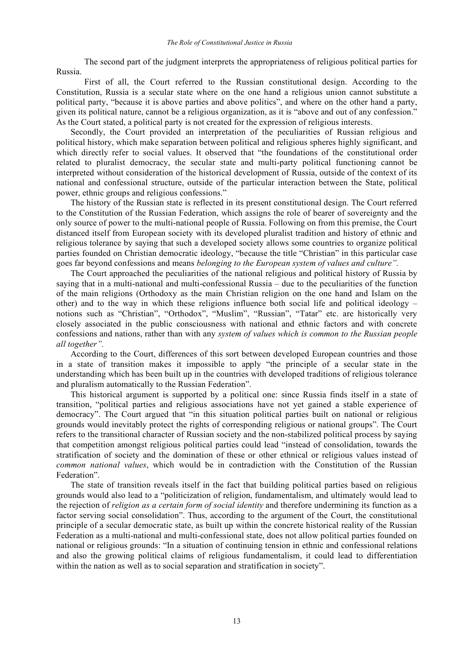The second part of the judgment interprets the appropriateness of religious political parties for Russia.

First of all, the Court referred to the Russian constitutional design. According to the Constitution, Russia is a secular state where on the one hand a religious union cannot substitute a political party, "because it is above parties and above politics", and where on the other hand a party, given its political nature, cannot be a religious organization, as it is "above and out of any confession." As the Court stated, a political party is not created for the expression of religious interests.

Secondly, the Court provided an interpretation of the peculiarities of Russian religious and political history, which make separation between political and religious spheres highly significant, and which directly refer to social values. It observed that "the foundations of the constitutional order related to pluralist democracy, the secular state and multi-party political functioning cannot be interpreted without consideration of the historical development of Russia, outside of the context of its national and confessional structure, outside of the particular interaction between the State, political power, ethnic groups and religious confessions."

The history of the Russian state is reflected in its present constitutional design. The Court referred to the Constitution of the Russian Federation, which assigns the role of bearer of sovereignty and the only source of power to the multi-national people of Russia. Following on from this premise, the Court distanced itself from European society with its developed pluralist tradition and history of ethnic and religious tolerance by saying that such a developed society allows some countries to organize political parties founded on Christian democratic ideology, "because the title "Christian" in this particular case goes far beyond confessions and means *belonging to the European system of values and culture".*

The Court approached the peculiarities of the national religious and political history of Russia by saying that in a multi-national and multi-confessional Russia – due to the peculiarities of the function of the main religions (Orthodoxy as the main Christian religion on the one hand and Islam on the other) and to the way in which these religions influence both social life and political ideology – notions such as "Christian", "Orthodox", "Muslim", "Russian", "Tatar" etc. are historically very closely associated in the public consciousness with national and ethnic factors and with concrete confessions and nations, rather than with any *system of values which is common to the Russian people all together".*

According to the Court, differences of this sort between developed European countries and those in a state of transition makes it impossible to apply "the principle of a secular state in the understanding which has been built up in the countries with developed traditions of religious tolerance and pluralism automatically to the Russian Federation".

This historical argument is supported by a political one: since Russia finds itself in a state of transition, "political parties and religious associations have not yet gained a stable experience of democracy". The Court argued that "in this situation political parties built on national or religious grounds would inevitably protect the rights of corresponding religious or national groups". The Court refers to the transitional character of Russian society and the non-stabilized political process by saying that competition amongst religious political parties could lead "instead of consolidation, towards the stratification of society and the domination of these or other ethnical or religious values instead of *common national values*, which would be in contradiction with the Constitution of the Russian Federation".

The state of transition reveals itself in the fact that building political parties based on religious grounds would also lead to a "politicization of religion, fundamentalism, and ultimately would lead to the rejection of *religion as a certain form of social identity* and therefore undermining its function as a factor serving social consolidation". Thus, according to the argument of the Court, the constitutional principle of a secular democratic state, as built up within the concrete historical reality of the Russian Federation as a multi-national and multi-confessional state, does not allow political parties founded on national or religious grounds: "In a situation of continuing tension in ethnic and confessional relations and also the growing political claims of religious fundamentalism, it could lead to differentiation within the nation as well as to social separation and stratification in society".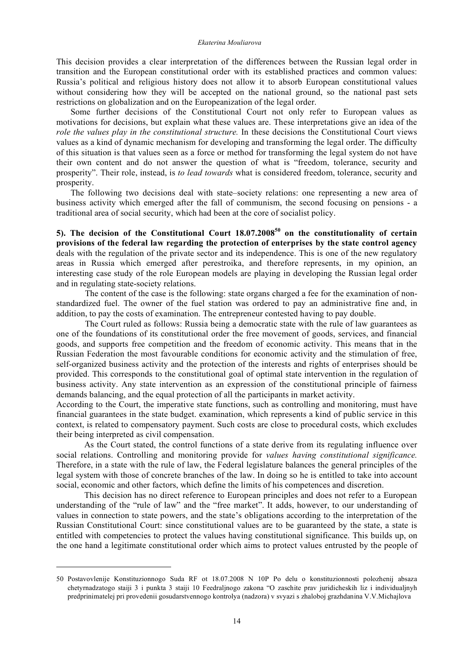This decision provides a clear interpretation of the differences between the Russian legal order in transition and the European constitutional order with its established practices and common values: Russia's political and religious history does not allow it to absorb European constitutional values without considering how they will be accepted on the national ground, so the national past sets restrictions on globalization and on the Europeanization of the legal order.

Some further decisions of the Constitutional Court not only refer to European values as motivations for decisions, but explain what these values are. These interpretations give an idea of the *role the values play in the constitutional structure.* In these decisions the Constitutional Court views values as a kind of dynamic mechanism for developing and transforming the legal order. The difficulty of this situation is that values seen as a force or method for transforming the legal system do not have their own content and do not answer the question of what is "freedom, tolerance, security and prosperity". Their role, instead, is *to lead towards* what is considered freedom, tolerance, security and prosperity.

The following two decisions deal with state–society relations: one representing a new area of business activity which emerged after the fall of communism, the second focusing on pensions - a traditional area of social security, which had been at the core of socialist policy.

**5). The decision of the Constitutional Court 18.07.2008<sup>50</sup> on the constitutionality of certain provisions of the federal law regarding the protection of enterprises by the state control agency** deals with the regulation of the private sector and its independence. This is one of the new regulatory areas in Russia which emerged after perestroika, and therefore represents, in my opinion, an interesting case study of the role European models are playing in developing the Russian legal order and in regulating state-society relations.

The content of the case is the following: state organs charged a fee for the examination of nonstandardized fuel. The owner of the fuel station was ordered to pay an administrative fine and, in addition, to pay the costs of examination. The entrepreneur contested having to pay double.

The Court ruled as follows: Russia being a democratic state with the rule of law guarantees as one of the foundations of its constitutional order the free movement of goods, services, and financial goods, and supports free competition and the freedom of economic activity. This means that in the Russian Federation the most favourable conditions for economic activity and the stimulation of free, self-organized business activity and the protection of the interests and rights of enterprises should be provided. This corresponds to the constitutional goal of optimal state intervention in the regulation of business activity. Any state intervention as an expression of the constitutional principle of fairness demands balancing, and the equal protection of all the participants in market activity.

According to the Court, the imperative state functions, such as controlling and monitoring, must have financial guarantees in the state budget. examination, which represents a kind of public service in this context, is related to compensatory payment. Such costs are close to procedural costs, which excludes their being interpreted as civil compensation.

As the Court stated, the control functions of a state derive from its regulating influence over social relations. Controlling and monitoring provide for *values having constitutional significance.* Therefore, in a state with the rule of law, the Federal legislature balances the general principles of the legal system with those of concrete branches of the law. In doing so he is entitled to take into account social, economic and other factors, which define the limits of his competences and discretion.

This decision has no direct reference to European principles and does not refer to a European understanding of the "rule of law" and the "free market". It adds, however, to our understanding of values in connection to state powers, and the state's obligations according to the interpretation of the Russian Constitutional Court: since constitutional values are to be guaranteed by the state, a state is entitled with competencies to protect the values having constitutional significance. This builds up, on the one hand a legitimate constitutional order which aims to protect values entrusted by the people of

<sup>50</sup> Postavovlenije Konstituzionnogo Suda RF ot 18.07.2008 N 10P Po delu o konstituzionnosti polozhenij absaza chetyrnadzatogo staiji 3 i punkta 3 staiji 10 Feedraljnogo zakona "O zaschite prav juridicheskih liz i individualjnyh predprinimatelej pri provedenii gosudarstvennogo kontrolya (nadzora) v svyazi s zhaloboj grazhdanina V.V.Michajlova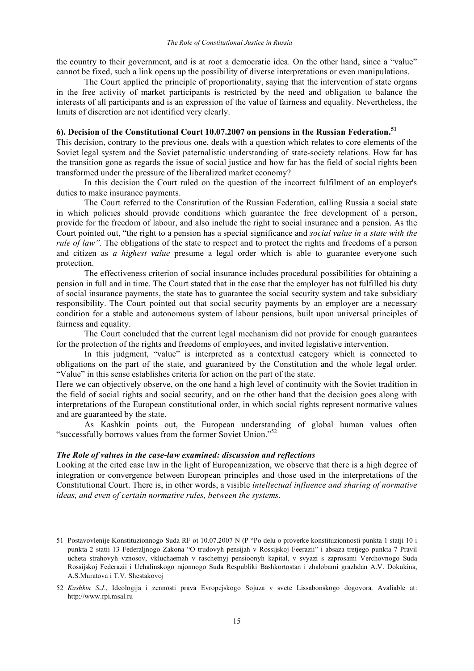the country to their government, and is at root a democratic idea. On the other hand, since a "value" cannot be fixed, such a link opens up the possibility of diverse interpretations or even manipulations.

The Court applied the principle of proportionality, saying that the intervention of state organs in the free activity of market participants is restricted by the need and obligation to balance the interests of all participants and is an expression of the value of fairness and equality. Nevertheless, the limits of discretion are not identified very clearly.

# **6). Decision of the Constitutional Court 10.07.2007 on pensions in the Russian Federation. 51**

This decision, contrary to the previous one, deals with a question which relates to core elements of the Soviet legal system and the Soviet paternalistic understanding of state-society relations. How far has the transition gone as regards the issue of social justice and how far has the field of social rights been transformed under the pressure of the liberalized market economy?

In this decision the Court ruled on the question of the incorrect fulfilment of an employer's duties to make insurance payments.

The Court referred to the Constitution of the Russian Federation, calling Russia a social state in which policies should provide conditions which guarantee the free development of a person, provide for the freedom of labour, and also include the right to social insurance and a pension. As the Court pointed out, "the right to a pension has a special significance and *social value in a state with the rule of law"*. The obligations of the state to respect and to protect the rights and freedoms of a person and citizen as *a highest value* presume a legal order which is able to guarantee everyone such protection.

The effectiveness criterion of social insurance includes procedural possibilities for obtaining a pension in full and in time. The Court stated that in the case that the employer has not fulfilled his duty of social insurance payments, the state has to guarantee the social security system and take subsidiary responsibility. The Court pointed out that social security payments by an employer are a necessary condition for a stable and autonomous system of labour pensions, built upon universal principles of fairness and equality.

The Court concluded that the current legal mechanism did not provide for enough guarantees for the protection of the rights and freedoms of employees, and invited legislative intervention.

In this judgment, "value" is interpreted as a contextual category which is connected to obligations on the part of the state, and guaranteed by the Constitution and the whole legal order. "Value" in this sense establishes criteria for action on the part of the state.

Here we can objectively observe, on the one hand a high level of continuity with the Soviet tradition in the field of social rights and social security, and on the other hand that the decision goes along with interpretations of the European constitutional order, in which social rights represent normative values and are guaranteed by the state.

As Kashkin points out, the European understanding of global human values often "successfully borrows values from the former Soviet Union."<sup>52</sup>

## *The Role of values in the case-law examined: discussion and reflections*

l

Looking at the cited case law in the light of Europeanization, we observe that there is a high degree of integration or convergence between European principles and those used in the interpretations of the Constitutional Court. There is, in other words, a visible *intellectual influence and sharing of normative ideas, and even of certain normative rules, between the systems.*

<sup>51</sup> Postavovlenije Konstituzionnogo Suda RF ot 10.07.2007 N (P "Po delu o proverke konstituzionnosti punkta 1 statji 10 i punkta 2 statii 13 Federaljnogo Zakona "O trudovyh pensijah v Rossijskoj Feerazii" i absaza tretjego punkta 7 Pravil ucheta strahovyh vznosov, vkluchaemah v raschetnyj pensioonyh kapital, v svyazi s zaprosami Verchovnogo Suda Rossijskoj Federazii i Uchalinskogo rajonnogo Suda Respubliki Bashkortostan i zhalobami grazhdan A.V. Dokukina, A.S.Muratova i T.V. Shestakovoj

<sup>52</sup> *Kashkin S.J.*, Ideologija i zennosti prava Evropejskogo Sojuza v svete Lissabonskogo dogovora. Avaliable at: http://www.rpi.msal.ru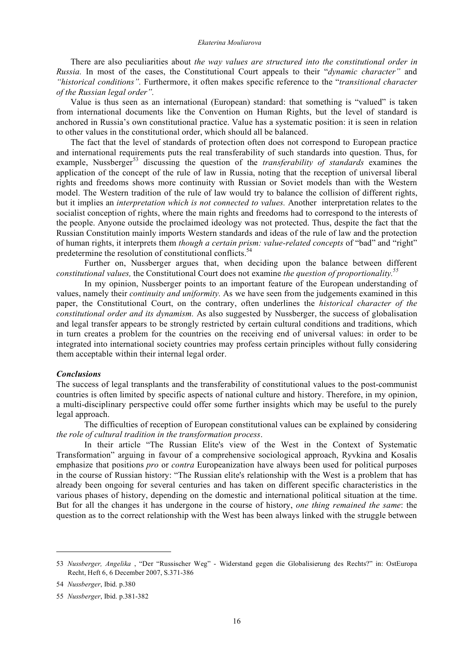#### *Ekaterina Mouliarova*

There are also peculiarities about *the way values are structured into the constitutional order in Russia.* In most of the cases, the Constitutional Court appeals to their "*dynamic character"* and *"historical conditions".* Furthermore, it often makes specific reference to the "*transitional character of the Russian legal order".*

Value is thus seen as an international (European) standard: that something is "valued" is taken from international documents like the Convention on Human Rights, but the level of standard is anchored in Russia's own constitutional practice. Value has a systematic position: it is seen in relation to other values in the constitutional order, which should all be balanced.

The fact that the level of standards of protection often does not correspond to European practice and international requirements puts the real transferability of such standards into question. Thus, for example, Nussberger<sup>53</sup> discussing the question of the *transferability of standards* examines the application of the concept of the rule of law in Russia, noting that the reception of universal liberal rights and freedoms shows more continuity with Russian or Soviet models than with the Western model. The Western tradition of the rule of law would try to balance the collision of different rights, but it implies an *interpretation which is not connected to values.* Another interpretation relates to the socialist conception of rights, where the main rights and freedoms had to correspond to the interests of the people. Anyone outside the proclaimed ideology was not protected. Thus, despite the fact that the Russian Constitution mainly imports Western standards and ideas of the rule of law and the protection of human rights, it interprets them *though a certain prism: value-related concepts* of "bad" and "right" predetermine the resolution of constitutional conflicts.<sup>54</sup>

Further on, Nussberger argues that, when deciding upon the balance between different *constitutional values,* the Constitutional Court does not examine *the question of proportionality. 55*

In my opinion, Nussberger points to an important feature of the European understanding of values, namely their *continuity and uniformity.* As we have seen from the judgements examined in this paper, the Constitutional Court, on the contrary, often underlines the *historical character of the constitutional order and its dynamism.* As also suggested by Nussberger, the success of globalisation and legal transfer appears to be strongly restricted by certain cultural conditions and traditions, which in turn creates a problem for the countries on the receiving end of universal values: in order to be integrated into international society countries may profess certain principles without fully considering them acceptable within their internal legal order.

#### *Conclusions*

The success of legal transplants and the transferability of constitutional values to the post-communist countries is often limited by specific aspects of national culture and history. Therefore, in my opinion, a multi-disciplinary perspective could offer some further insights which may be useful to the purely legal approach.

The difficulties of reception of European constitutional values can be explained by considering *the role of cultural tradition in the transformation process*.

In their article "The Russian Elite's view of the West in the Context of Systematic Transformation" arguing in favour of a comprehensive sociological approach, Ryvkina and Kosalis emphasize that positions *pro* or *contra* Europeanization have always been used for political purposes in the course of Russian history: "The Russian elite's relationship with the West is a problem that has already been ongoing for several centuries and has taken on different specific characteristics in the various phases of history, depending on the domestic and international political situation at the time. But for all the changes it has undergone in the course of history, *one thing remained the same*: the question as to the correct relationship with the West has been always linked with the struggle between

<sup>53</sup> *Nussberger, Angelika* , "Der "Russischer Weg" - Widerstand gegen die Globalisierung des Rechts?" in: OstEuropa Recht, Heft 6, 6 December 2007, S.371-386

<sup>54</sup> *Nussberger*, Ibid. p.380

<sup>55</sup> *Nussberger*, Ibid. p.381-382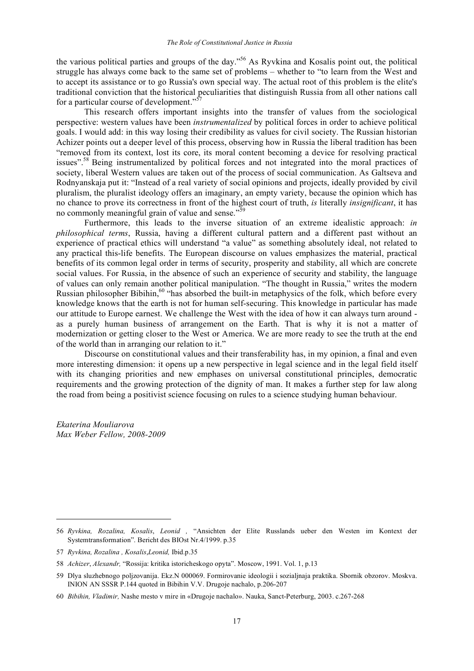the various political parties and groups of the day." <sup>56</sup> As Ryvkina and Kosalis point out, the political struggle has always come back to the same set of problems – whether to "to learn from the West and to accept its assistance or to go Russia's own special way. The actual root of this problem is the elite's traditional conviction that the historical peculiarities that distinguish Russia from all other nations call for a particular course of development." $\mathcal{S}$ 

This research offers important insights into the transfer of values from the sociological perspective: western values have been *instrumentalized* by political forces in order to achieve political goals. I would add: in this way losing their credibility as values for civil society. The Russian historian Achizer points out a deeper level of this process, observing how in Russia the liberal tradition has been "removed from its context, lost its core, its moral content becoming a device for resolving practical issues".<sup>58</sup> Being instrumentalized by political forces and not integrated into the moral practices of society, liberal Western values are taken out of the process of social communication. As Galtseva and Rodnyanskaja put it: "Instead of a real variety of social opinions and projects, ideally provided by civil pluralism, the pluralist ideology offers an imaginary, an empty variety, because the opinion which has no chance to prove its correctness in front of the highest court of truth, *is* literally *insignificant*, it has no commonly meaningful grain of value and sense."<sup>59</sup>

Furthermore, this leads to the inverse situation of an extreme idealistic approach: *in philosophical terms*, Russia, having a different cultural pattern and a different past without an experience of practical ethics will understand "a value" as something absolutely ideal, not related to any practical this-life benefits. The European discourse on values emphasizes the material, practical benefits of its common legal order in terms of security, prosperity and stability, all which are concrete social values. For Russia, in the absence of such an experience of security and stability, the language of values can only remain another political manipulation. "The thought in Russia," writes the modern Russian philosopher Bibihin,<sup>60</sup> "has absorbed the built-in metaphysics of the folk, which before every knowledge knows that the earth is not for human self-securing. This knowledge in particular has made our attitude to Europe earnest. We challenge the West with the idea of how it can always turn around as a purely human business of arrangement on the Earth. That is why it is not a matter of modernization or getting closer to the West or America. We are more ready to see the truth at the end of the world than in arranging our relation to it."

Discourse on constitutional values and their transferability has, in my opinion, a final and even more interesting dimension: it opens up a new perspective in legal science and in the legal field itself with its changing priorities and new emphases on universal constitutional principles, democratic requirements and the growing protection of the dignity of man. It makes a further step for law along the road from being a positivist science focusing on rules to a science studying human behaviour.

*Ekaterina Mouliarova Max Weber Fellow, 2008-2009*

<sup>56</sup> *Ryvkina, Rozalina, Kosalis*, *Leonid ,* "Ansichten der Elite Russlands ueber den Westen im Kontext der Systemtransformation". Bericht des BIOst Nr.4/1999. p.35

<sup>57</sup> *Ryvkina, Rozalina , Kosalis*,*Leonid,* Ibid.p.35

<sup>58</sup> *Achizer*, *Alexandr,* "Rossija: kritika istoricheskogo opyta". Moscow, 1991. Vol. 1, p.13

<sup>59</sup> Dlya sluzhebnogo poljzovanija. Ekz.N 000069. Formirovanie ideologii i sozialjnaja praktika. Sbornik obzorov. Moskva. INION AN SSSR P.144 quoted in Bibihin V.V. Drugoje nachalo, p.206-207

<sup>60</sup> *Bibihin, Vladimir,* Nashe mesto v mire in «Drugoje nachalo». Nauka, Sanct-Peterburg, 2003. с.267-268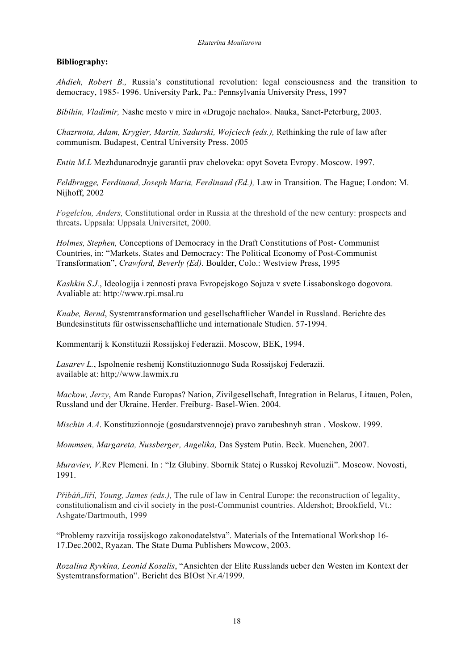# **Bibliography:**

*Ahdieh, Robert B.,* Russia's constitutional revolution: legal consciousness and the transition to democracy, 1985- 1996. University Park, Pa.: Pennsylvania University Press, 1997

*Bibihin, Vladimir,* Nashe mesto v mire in «Drugoje nachalo». Nauka, Sanct-Peterburg, 2003.

*Chazrnota, Adam, Krygier, Martin, Sadurski, Wojciech (eds.),* Rethinking the rule of law after communism. Budapest, Central University Press. 2005

*Entin M.L* Mezhdunarodnyje garantii prav cheloveka: opyt Soveta Evropy. Moscow. 1997.

*Feldbrugge, Ferdinand, Joseph Maria, Ferdinand (Ed.),* Law in Transition. The Hague; London: M. Nijhoff, 2002

*Fogelclou, Anders,* Constitutional order in Russia at the threshold of the new century: prospects and threats**.** Uppsala: Uppsala Universitet, 2000.

*Holmes, Stephen,* Conceptions of Democracy in the Draft Constitutions of Post- Communist Countries, in: "Markets, States and Democracy: The Political Economy of Post-Communist Transformation", *Crawford, Beverly (Ed).* Boulder, Colo.: Westview Press, 1995

*Kashkin S.J.*, Ideologija i zennosti prava Evropejskogo Sojuza v svete Lissabonskogo dogovora. Avaliable at: http://www.rpi.msal.ru

*Knabe, Bernd*, Systemtransformation und gesellschaftlicher Wandel in Russland. Berichte des Bundesinstituts für ostwissenschaftliche und internationale Studien. 57-1994.

Kommentarij k Konstituzii Rossijskoj Federazii. Moscow, BEK, 1994.

*Lasarev L.*, Ispolnenie reshenij Konstituzionnogo Suda Rossijskoj Federazii. available at: http;//www.lawmix.ru

*Mackow, Jerzy*, Am Rande Europas? Nation, Zivilgesellschaft, Integration in Belarus, Litauen, Polen, Russland und der Ukraine. Herder. Freiburg- Basel-Wien. 2004.

*Mischin A.A*. Konstituzionnoje (gosudarstvennoje) pravo zarubeshnyh stran . Moskow. 1999.

*Mommsen, Margareta, Nussberger, Angelika,* Das System Putin. Beck. Muenchen, 2007.

*Muraviev, V.*Rev Plemeni. In : "Iz Glubiny. Sbornik Statej o Russkoj Revoluzii". Moscow. Novosti, 1991.

*Přibáň,Jiří, Young, James (eds.),* The rule of law in Central Europe: the reconstruction of legality, constitutionalism and civil society in the post-Communist countries. Aldershot; Brookfield, Vt.: Ashgate/Dartmouth, 1999

"Problemy razvitija rossijskogo zakonodatelstva". Materials of the International Workshop 16- 17.Dec.2002, Ryazan. The State Duma Publishers Mowcow, 2003.

*Rozalina Ryvkina, Leonid Kosalis*, "Ansichten der Elite Russlands ueber den Westen im Kontext der Systemtransformation". Bericht des BIOst Nr.4/1999.